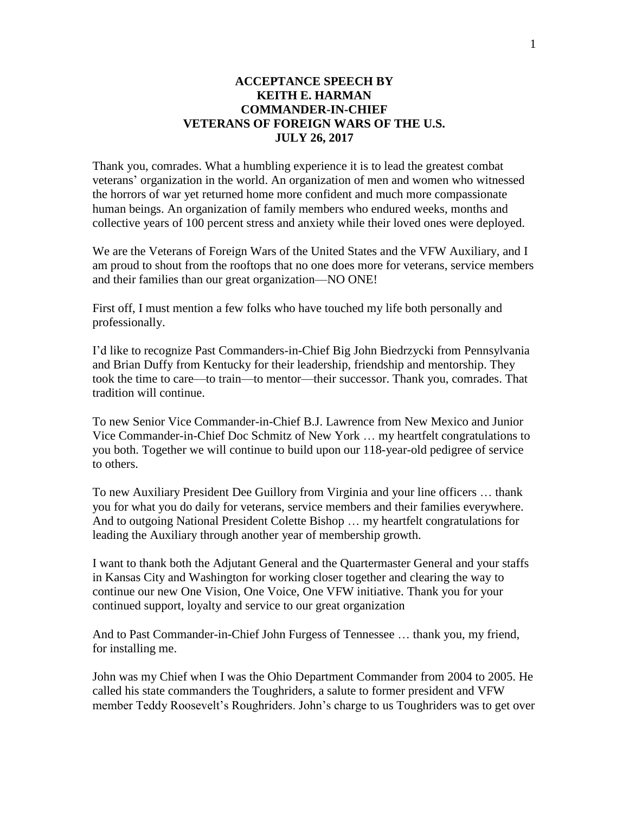## **ACCEPTANCE SPEECH BY KEITH E. HARMAN COMMANDER-IN-CHIEF VETERANS OF FOREIGN WARS OF THE U.S. JULY 26, 2017**

Thank you, comrades. What a humbling experience it is to lead the greatest combat veterans' organization in the world. An organization of men and women who witnessed the horrors of war yet returned home more confident and much more compassionate human beings. An organization of family members who endured weeks, months and collective years of 100 percent stress and anxiety while their loved ones were deployed.

We are the Veterans of Foreign Wars of the United States and the VFW Auxiliary, and I am proud to shout from the rooftops that no one does more for veterans, service members and their families than our great organization—NO ONE!

First off, I must mention a few folks who have touched my life both personally and professionally.

I'd like to recognize Past Commanders-in-Chief Big John Biedrzycki from Pennsylvania and Brian Duffy from Kentucky for their leadership, friendship and mentorship. They took the time to care—to train—to mentor—their successor. Thank you, comrades. That tradition will continue.

To new Senior Vice Commander-in-Chief B.J. Lawrence from New Mexico and Junior Vice Commander-in-Chief Doc Schmitz of New York … my heartfelt congratulations to you both. Together we will continue to build upon our 118-year-old pedigree of service to others.

To new Auxiliary President Dee Guillory from Virginia and your line officers … thank you for what you do daily for veterans, service members and their families everywhere. And to outgoing National President Colette Bishop … my heartfelt congratulations for leading the Auxiliary through another year of membership growth.

I want to thank both the Adjutant General and the Quartermaster General and your staffs in Kansas City and Washington for working closer together and clearing the way to continue our new One Vision, One Voice, One VFW initiative. Thank you for your continued support, loyalty and service to our great organization

And to Past Commander-in-Chief John Furgess of Tennessee … thank you, my friend, for installing me.

John was my Chief when I was the Ohio Department Commander from 2004 to 2005. He called his state commanders the Toughriders, a salute to former president and VFW member Teddy Roosevelt's Roughriders. John's charge to us Toughriders was to get over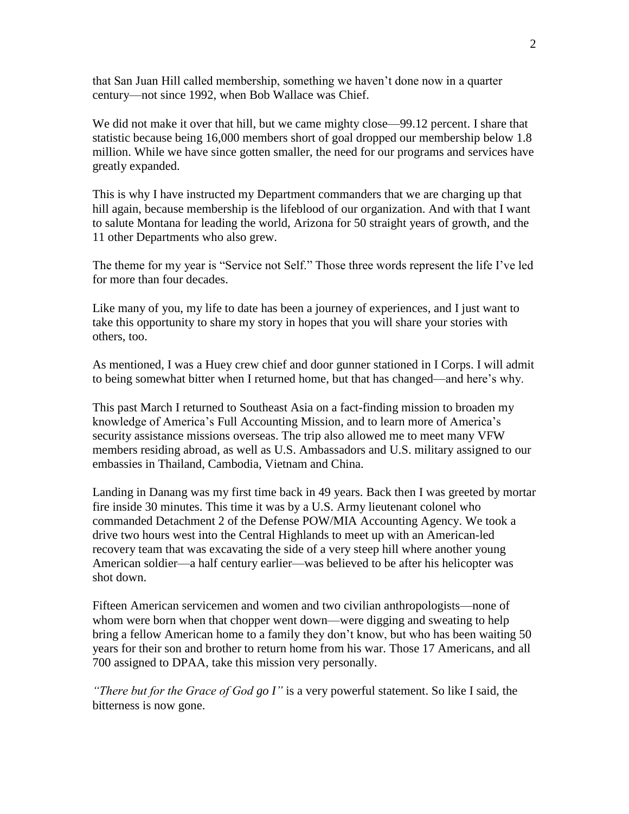that San Juan Hill called membership, something we haven't done now in a quarter century—not since 1992, when Bob Wallace was Chief.

We did not make it over that hill, but we came mighty close—99.12 percent. I share that statistic because being 16,000 members short of goal dropped our membership below 1.8 million. While we have since gotten smaller, the need for our programs and services have greatly expanded.

This is why I have instructed my Department commanders that we are charging up that hill again, because membership is the lifeblood of our organization. And with that I want to salute Montana for leading the world, Arizona for 50 straight years of growth, and the 11 other Departments who also grew.

The theme for my year is "Service not Self." Those three words represent the life I've led for more than four decades.

Like many of you, my life to date has been a journey of experiences, and I just want to take this opportunity to share my story in hopes that you will share your stories with others, too.

As mentioned, I was a Huey crew chief and door gunner stationed in I Corps. I will admit to being somewhat bitter when I returned home, but that has changed—and here's why.

This past March I returned to Southeast Asia on a fact-finding mission to broaden my knowledge of America's Full Accounting Mission, and to learn more of America's security assistance missions overseas. The trip also allowed me to meet many VFW members residing abroad, as well as U.S. Ambassadors and U.S. military assigned to our embassies in Thailand, Cambodia, Vietnam and China.

Landing in Danang was my first time back in 49 years. Back then I was greeted by mortar fire inside 30 minutes. This time it was by a U.S. Army lieutenant colonel who commanded Detachment 2 of the Defense POW/MIA Accounting Agency. We took a drive two hours west into the Central Highlands to meet up with an American-led recovery team that was excavating the side of a very steep hill where another young American soldier—a half century earlier—was believed to be after his helicopter was shot down.

Fifteen American servicemen and women and two civilian anthropologists—none of whom were born when that chopper went down—were digging and sweating to help bring a fellow American home to a family they don't know, but who has been waiting 50 years for their son and brother to return home from his war. Those 17 Americans, and all 700 assigned to DPAA, take this mission very personally.

*"There but for the Grace of God go I"* is a very powerful statement. So like I said, the bitterness is now gone.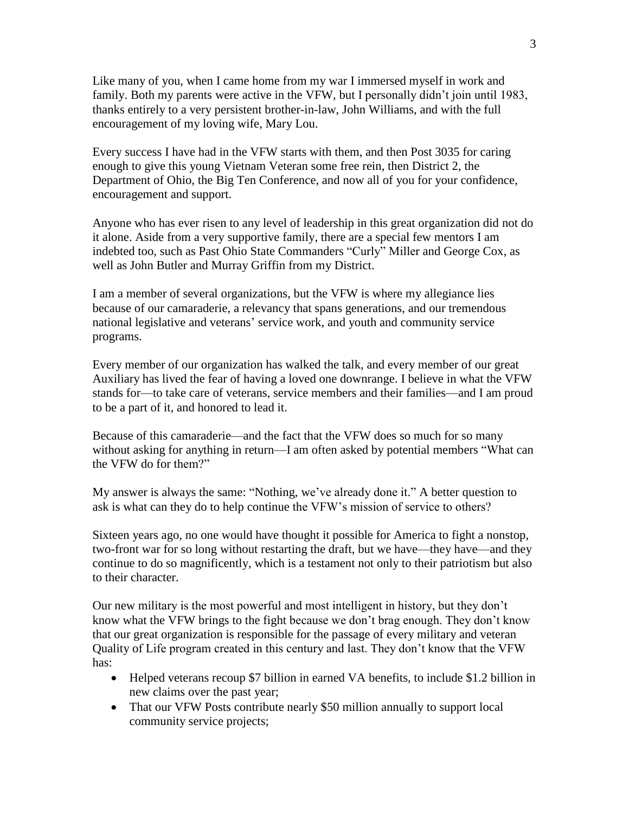Like many of you, when I came home from my war I immersed myself in work and family. Both my parents were active in the VFW, but I personally didn't join until 1983, thanks entirely to a very persistent brother-in-law, John Williams, and with the full encouragement of my loving wife, Mary Lou.

Every success I have had in the VFW starts with them, and then Post 3035 for caring enough to give this young Vietnam Veteran some free rein, then District 2, the Department of Ohio, the Big Ten Conference, and now all of you for your confidence, encouragement and support.

Anyone who has ever risen to any level of leadership in this great organization did not do it alone. Aside from a very supportive family, there are a special few mentors I am indebted too, such as Past Ohio State Commanders "Curly" Miller and George Cox, as well as John Butler and Murray Griffin from my District.

I am a member of several organizations, but the VFW is where my allegiance lies because of our camaraderie, a relevancy that spans generations, and our tremendous national legislative and veterans' service work, and youth and community service programs.

Every member of our organization has walked the talk, and every member of our great Auxiliary has lived the fear of having a loved one downrange. I believe in what the VFW stands for—to take care of veterans, service members and their families—and I am proud to be a part of it, and honored to lead it.

Because of this camaraderie—and the fact that the VFW does so much for so many without asking for anything in return—I am often asked by potential members "What can the VFW do for them?"

My answer is always the same: "Nothing, we've already done it." A better question to ask is what can they do to help continue the VFW's mission of service to others?

Sixteen years ago, no one would have thought it possible for America to fight a nonstop, two-front war for so long without restarting the draft, but we have—they have—and they continue to do so magnificently, which is a testament not only to their patriotism but also to their character.

Our new military is the most powerful and most intelligent in history, but they don't know what the VFW brings to the fight because we don't brag enough. They don't know that our great organization is responsible for the passage of every military and veteran Quality of Life program created in this century and last. They don't know that the VFW has:

- Helped veterans recoup \$7 billion in earned VA benefits, to include \$1.2 billion in new claims over the past year;
- That our VFW Posts contribute nearly \$50 million annually to support local community service projects;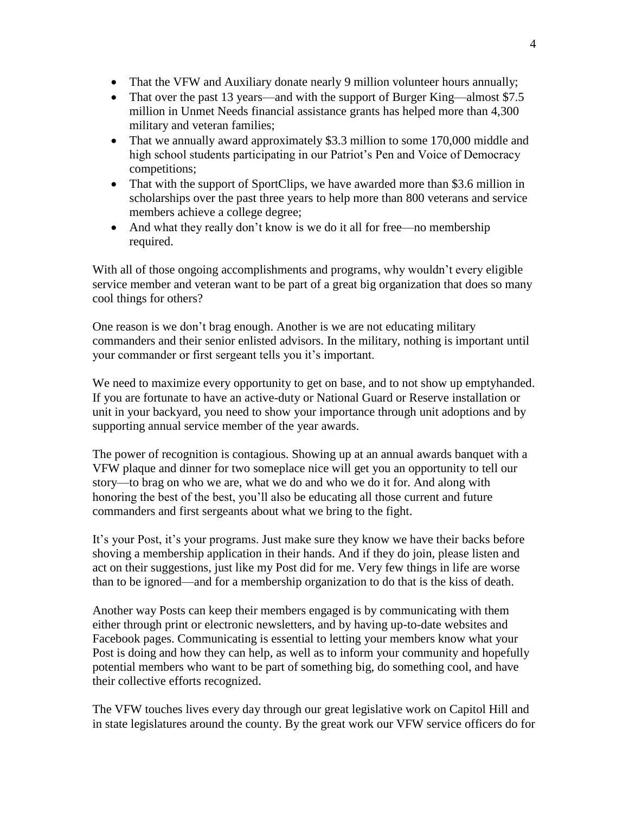- That the VFW and Auxiliary donate nearly 9 million volunteer hours annually;
- That over the past 13 years—and with the support of Burger King—almost \$7.5 million in Unmet Needs financial assistance grants has helped more than 4,300 military and veteran families;
- That we annually award approximately \$3.3 million to some 170,000 middle and high school students participating in our Patriot's Pen and Voice of Democracy competitions;
- That with the support of SportClips, we have awarded more than \$3.6 million in scholarships over the past three years to help more than 800 veterans and service members achieve a college degree;
- And what they really don't know is we do it all for free—no membership required.

With all of those ongoing accomplishments and programs, why wouldn't every eligible service member and veteran want to be part of a great big organization that does so many cool things for others?

One reason is we don't brag enough. Another is we are not educating military commanders and their senior enlisted advisors. In the military, nothing is important until your commander or first sergeant tells you it's important.

We need to maximize every opportunity to get on base, and to not show up emptyhanded. If you are fortunate to have an active-duty or National Guard or Reserve installation or unit in your backyard, you need to show your importance through unit adoptions and by supporting annual service member of the year awards.

The power of recognition is contagious. Showing up at an annual awards banquet with a VFW plaque and dinner for two someplace nice will get you an opportunity to tell our story—to brag on who we are, what we do and who we do it for. And along with honoring the best of the best, you'll also be educating all those current and future commanders and first sergeants about what we bring to the fight.

It's your Post, it's your programs. Just make sure they know we have their backs before shoving a membership application in their hands. And if they do join, please listen and act on their suggestions, just like my Post did for me. Very few things in life are worse than to be ignored—and for a membership organization to do that is the kiss of death.

Another way Posts can keep their members engaged is by communicating with them either through print or electronic newsletters, and by having up-to-date websites and Facebook pages. Communicating is essential to letting your members know what your Post is doing and how they can help, as well as to inform your community and hopefully potential members who want to be part of something big, do something cool, and have their collective efforts recognized.

The VFW touches lives every day through our great legislative work on Capitol Hill and in state legislatures around the county. By the great work our VFW service officers do for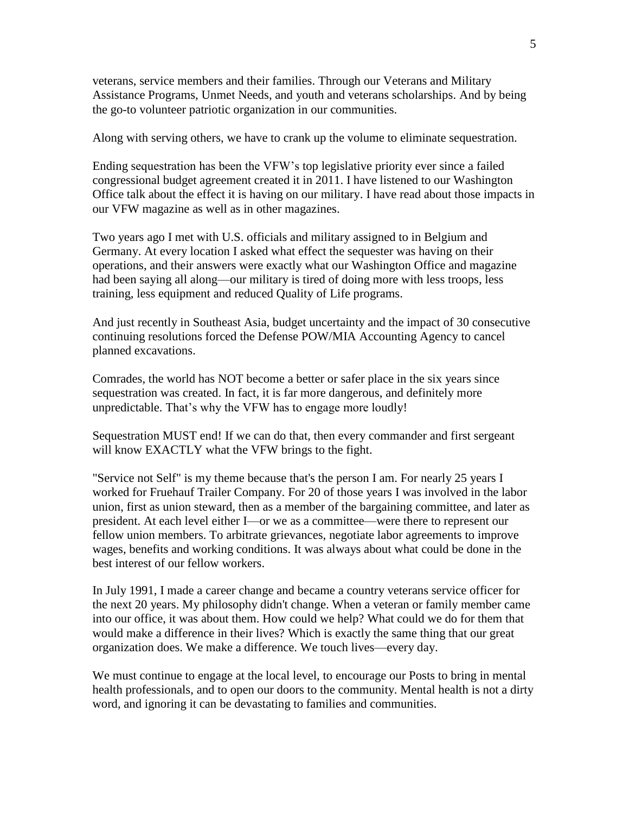veterans, service members and their families. Through our Veterans and Military Assistance Programs, Unmet Needs, and youth and veterans scholarships. And by being the go-to volunteer patriotic organization in our communities.

Along with serving others, we have to crank up the volume to eliminate sequestration.

Ending sequestration has been the VFW's top legislative priority ever since a failed congressional budget agreement created it in 2011. I have listened to our Washington Office talk about the effect it is having on our military. I have read about those impacts in our VFW magazine as well as in other magazines.

Two years ago I met with U.S. officials and military assigned to in Belgium and Germany. At every location I asked what effect the sequester was having on their operations, and their answers were exactly what our Washington Office and magazine had been saying all along—our military is tired of doing more with less troops, less training, less equipment and reduced Quality of Life programs.

And just recently in Southeast Asia, budget uncertainty and the impact of 30 consecutive continuing resolutions forced the Defense POW/MIA Accounting Agency to cancel planned excavations.

Comrades, the world has NOT become a better or safer place in the six years since sequestration was created. In fact, it is far more dangerous, and definitely more unpredictable. That's why the VFW has to engage more loudly!

Sequestration MUST end! If we can do that, then every commander and first sergeant will know EXACTLY what the VFW brings to the fight.

"Service not Self" is my theme because that's the person I am. For nearly 25 years I worked for Fruehauf Trailer Company. For 20 of those years I was involved in the labor union, first as union steward, then as a member of the bargaining committee, and later as president. At each level either I—or we as a committee—were there to represent our fellow union members. To arbitrate grievances, negotiate labor agreements to improve wages, benefits and working conditions. It was always about what could be done in the best interest of our fellow workers.

In July 1991, I made a career change and became a country veterans service officer for the next 20 years. My philosophy didn't change. When a veteran or family member came into our office, it was about them. How could we help? What could we do for them that would make a difference in their lives? Which is exactly the same thing that our great organization does. We make a difference. We touch lives—every day.

We must continue to engage at the local level, to encourage our Posts to bring in mental health professionals, and to open our doors to the community. Mental health is not a dirty word, and ignoring it can be devastating to families and communities.